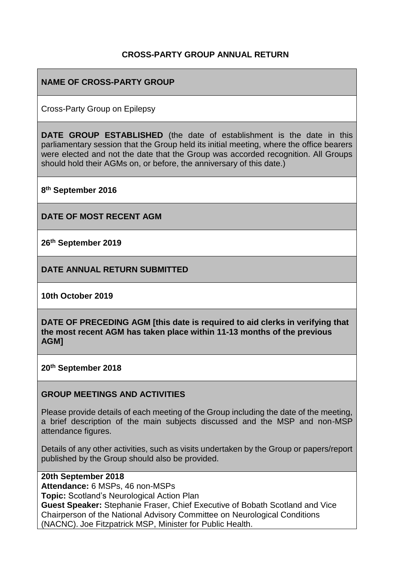### **CROSS-PARTY GROUP ANNUAL RETURN**

## **NAME OF CROSS-PARTY GROUP**

Cross-Party Group on Epilepsy

**DATE GROUP ESTABLISHED** (the date of establishment is the date in this parliamentary session that the Group held its initial meeting, where the office bearers were elected and not the date that the Group was accorded recognition. All Groups should hold their AGMs on, or before, the anniversary of this date.)

**8 th September 2016**

**DATE OF MOST RECENT AGM**

**26 th September 2019**

**DATE ANNUAL RETURN SUBMITTED**

**10th October 2019**

**DATE OF PRECEDING AGM [this date is required to aid clerks in verifying that the most recent AGM has taken place within 11-13 months of the previous AGM]**

**20th September 2018**

#### **GROUP MEETINGS AND ACTIVITIES**

Please provide details of each meeting of the Group including the date of the meeting, a brief description of the main subjects discussed and the MSP and non-MSP attendance figures.

Details of any other activities, such as visits undertaken by the Group or papers/report published by the Group should also be provided.

**20th September 2018 Attendance:** 6 MSPs, 46 non-MSPs **Topic:** Scotland's Neurological Action Plan **Guest Speaker:** Stephanie Fraser, Chief Executive of Bobath Scotland and Vice Chairperson of the National Advisory Committee on Neurological Conditions (NACNC). Joe Fitzpatrick MSP, Minister for Public Health.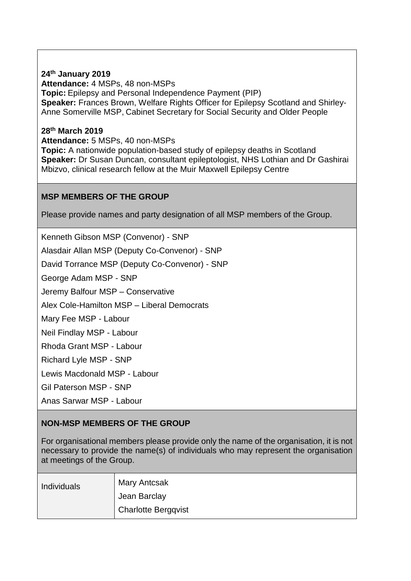### **24 th January 2019**

**Attendance:** 4 MSPs, 48 non-MSPs **Topic:** Epilepsy and Personal Independence Payment (PIP) **Speaker:** Frances Brown, Welfare Rights Officer for Epilepsy Scotland and Shirley-Anne Somerville MSP, Cabinet Secretary for Social Security and Older People

### **28 th March 2019**

**Attendance:** 5 MSPs, 40 non-MSPs **Topic:** A nationwide population-based study of epilepsy deaths in Scotland **Speaker:** Dr Susan Duncan, consultant epileptologist, NHS Lothian and Dr Gashirai Mbizvo, clinical research fellow at the Muir Maxwell Epilepsy Centre

## **MSP MEMBERS OF THE GROUP**

Please provide names and party designation of all MSP members of the Group.

Kenneth Gibson MSP (Convenor) - SNP

Alasdair Allan MSP (Deputy Co-Convenor) - SNP

David Torrance MSP (Deputy Co-Convenor) - SNP

George Adam MSP - SNP

Jeremy Balfour MSP – Conservative

Alex Cole-Hamilton MSP – Liberal Democrats

Mary Fee MSP - Labour

Neil Findlay MSP - Labour

Rhoda Grant MSP - Labour

Richard Lyle MSP - SNP

Lewis Macdonald MSP - Labour

Gil Paterson MSP - SNP

Anas Sarwar MSP - Labour

# **NON-MSP MEMBERS OF THE GROUP**

For organisational members please provide only the name of the organisation, it is not necessary to provide the name(s) of individuals who may represent the organisation at meetings of the Group.

| Individuals | <b>Mary Antcsak</b>        |
|-------------|----------------------------|
|             | Jean Barclay               |
|             | <b>Charlotte Bergqvist</b> |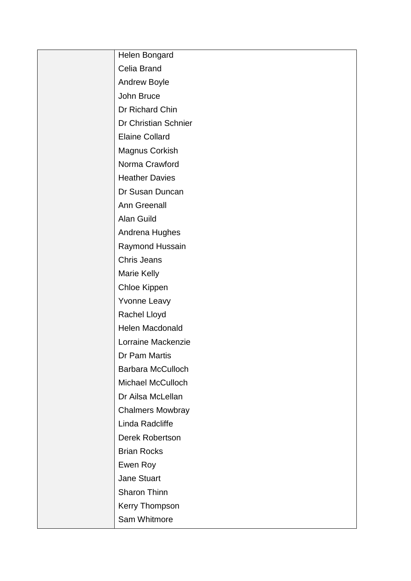| Helen Bongard            |
|--------------------------|
| Celia Brand              |
| <b>Andrew Boyle</b>      |
| John Bruce               |
| Dr Richard Chin          |
| Dr Christian Schnier     |
| <b>Elaine Collard</b>    |
| Magnus Corkish           |
| Norma Crawford           |
| <b>Heather Davies</b>    |
| Dr Susan Duncan          |
| <b>Ann Greenall</b>      |
| Alan Guild               |
| Andrena Hughes           |
| Raymond Hussain          |
| <b>Chris Jeans</b>       |
| Marie Kelly              |
| Chloe Kippen             |
| <b>Yvonne Leavy</b>      |
| Rachel Lloyd             |
| Helen Macdonald          |
| Lorraine Mackenzie       |
| Dr Pam Martis            |
| <b>Barbara McCulloch</b> |
| <b>Michael McCulloch</b> |
| Dr Ailsa McLellan        |
| <b>Chalmers Mowbray</b>  |
| Linda Radcliffe          |
| Derek Robertson          |
| <b>Brian Rocks</b>       |
| Ewen Roy                 |
| <b>Jane Stuart</b>       |
| Sharon Thinn             |
| Kerry Thompson           |
| Sam Whitmore             |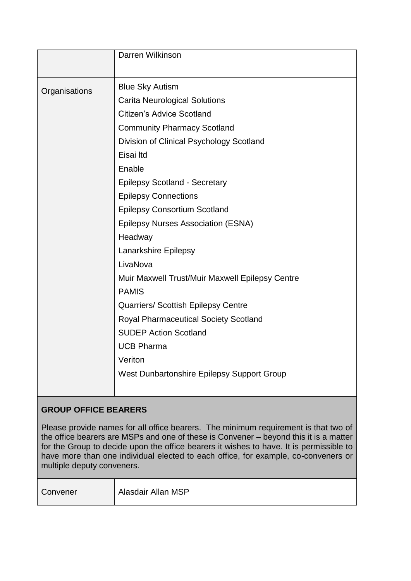|               | Darren Wilkinson                                |
|---------------|-------------------------------------------------|
|               |                                                 |
| Organisations | <b>Blue Sky Autism</b>                          |
|               | <b>Carita Neurological Solutions</b>            |
|               | <b>Citizen's Advice Scotland</b>                |
|               | <b>Community Pharmacy Scotland</b>              |
|               | Division of Clinical Psychology Scotland        |
|               | Eisai Itd                                       |
|               | Enable                                          |
|               | <b>Epilepsy Scotland - Secretary</b>            |
|               | <b>Epilepsy Connections</b>                     |
|               | <b>Epilepsy Consortium Scotland</b>             |
|               | <b>Epilepsy Nurses Association (ESNA)</b>       |
|               | Headway                                         |
|               | Lanarkshire Epilepsy                            |
|               | LivaNova                                        |
|               | Muir Maxwell Trust/Muir Maxwell Epilepsy Centre |
|               | <b>PAMIS</b>                                    |
|               | <b>Quarriers/ Scottish Epilepsy Centre</b>      |
|               | <b>Royal Pharmaceutical Society Scotland</b>    |
|               | <b>SUDEP Action Scotland</b>                    |
|               | <b>UCB Pharma</b>                               |
|               | Veriton                                         |
|               | West Dunbartonshire Epilepsy Support Group      |
|               |                                                 |

# **GROUP OFFICE BEARERS**

Please provide names for all office bearers. The minimum requirement is that two of the office bearers are MSPs and one of these is Convener – beyond this it is a matter for the Group to decide upon the office bearers it wishes to have. It is permissible to have more than one individual elected to each office, for example, co-conveners or multiple deputy conveners.

Convener | Alasdair Allan MSP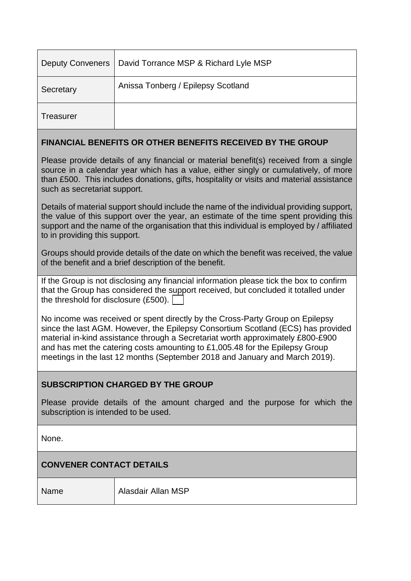|           | Deputy Conveners   David Torrance MSP & Richard Lyle MSP |
|-----------|----------------------------------------------------------|
| Secretary | Anissa Tonberg / Epilepsy Scotland                       |
| Treasurer |                                                          |

### **FINANCIAL BENEFITS OR OTHER BENEFITS RECEIVED BY THE GROUP**

Please provide details of any financial or material benefit(s) received from a single source in a calendar year which has a value, either singly or cumulatively, of more than £500. This includes donations, gifts, hospitality or visits and material assistance such as secretariat support.

Details of material support should include the name of the individual providing support, the value of this support over the year, an estimate of the time spent providing this support and the name of the organisation that this individual is employed by / affiliated to in providing this support.

Groups should provide details of the date on which the benefit was received, the value of the benefit and a brief description of the benefit.

If the Group is not disclosing any financial information please tick the box to confirm that the Group has considered the support received, but concluded it totalled under the threshold for disclosure (£500).

No income was received or spent directly by the Cross-Party Group on Epilepsy since the last AGM. However, the Epilepsy Consortium Scotland (ECS) has provided material in-kind assistance through a Secretariat worth approximately £800-£900 and has met the catering costs amounting to £1,005.48 for the Epilepsy Group meetings in the last 12 months (September 2018 and January and March 2019).

### **SUBSCRIPTION CHARGED BY THE GROUP**

Please provide details of the amount charged and the purpose for which the subscription is intended to be used.

None.

### **CONVENER CONTACT DETAILS**

Name Alasdair Allan MSP